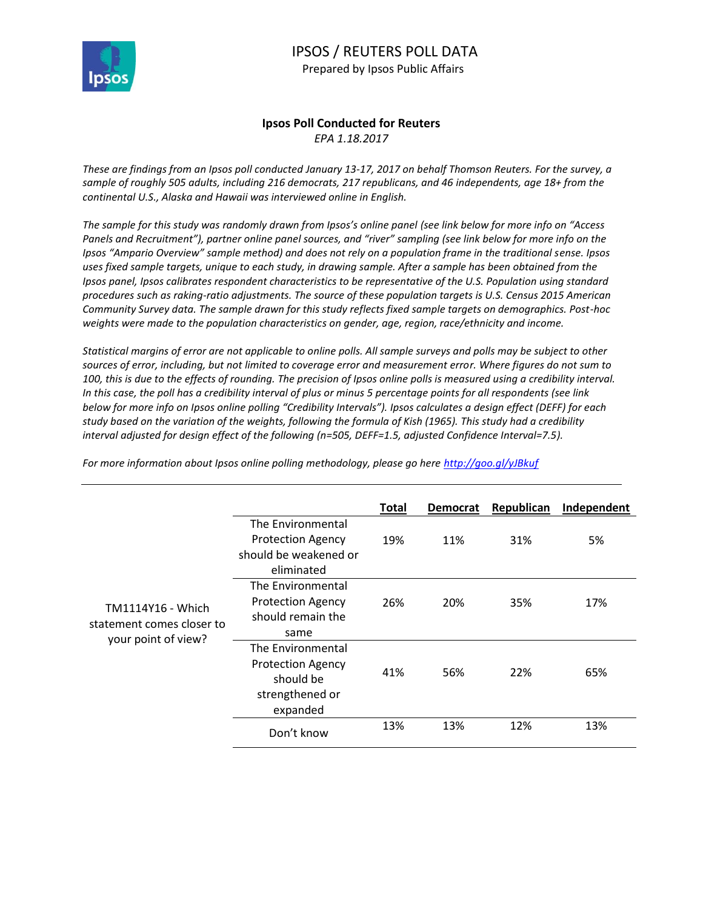

## IPSOS / REUTERS POLL DATA Prepared by Ipsos Public Affairs

## **Ipsos Poll Conducted for Reuters** *EPA 1.18.2017*

*These are findings from an Ipsos poll conducted January 13-17, 2017 on behalf Thomson Reuters. For the survey, a sample of roughly 505 adults, including 216 democrats, 217 republicans, and 46 independents, age 18+ from the continental U.S., Alaska and Hawaii was interviewed online in English.* 

*The sample for this study was randomly drawn from Ipsos's online panel (see link below for more info on "Access Panels and Recruitment"), partner online panel sources, and "river" sampling (see link below for more info on the Ipsos "Ampario Overview" sample method) and does not rely on a population frame in the traditional sense. Ipsos uses fixed sample targets, unique to each study, in drawing sample. After a sample has been obtained from the Ipsos panel, Ipsos calibrates respondent characteristics to be representative of the U.S. Population using standard procedures such as raking-ratio adjustments. The source of these population targets is U.S. Census 2015 American Community Survey data. The sample drawn for this study reflects fixed sample targets on demographics. Post-hoc weights were made to the population characteristics on gender, age, region, race/ethnicity and income.* 

*Statistical margins of error are not applicable to online polls. All sample surveys and polls may be subject to other sources of error, including, but not limited to coverage error and measurement error. Where figures do not sum to 100, this is due to the effects of rounding. The precision of Ipsos online polls is measured using a credibility interval. In this case, the poll has a credibility interval of plus or minus 5 percentage points for all respondents (see link below for more info on Ipsos online polling "Credibility Intervals"). Ipsos calculates a design effect (DEFF) for each study based on the variation of the weights, following the formula of Kish (1965). This study had a credibility interval adjusted for design effect of the following (n=505, DEFF=1.5, adjusted Confidence Interval=7.5).* 

|                                                                       |                                                                                           | Total | <b>Democrat</b> | Republican | Independent |
|-----------------------------------------------------------------------|-------------------------------------------------------------------------------------------|-------|-----------------|------------|-------------|
| TM1114Y16 - Which<br>statement comes closer to<br>your point of view? | The Environmental<br><b>Protection Agency</b><br>should be weakened or<br>eliminated      | 19%   | 11%             | 31%        | 5%          |
|                                                                       | The Environmental<br><b>Protection Agency</b><br>should remain the<br>same                | 26%   | 20%             | 35%        | 17%         |
|                                                                       | The Environmental<br><b>Protection Agency</b><br>should be<br>strengthened or<br>expanded | 41%   | 56%             | 22%        | 65%         |
|                                                                       | Don't know                                                                                | 13%   | 13%             | 12%        | 13%         |

*For more information about Ipsos online polling methodology, please go here<http://goo.gl/yJBkuf>*